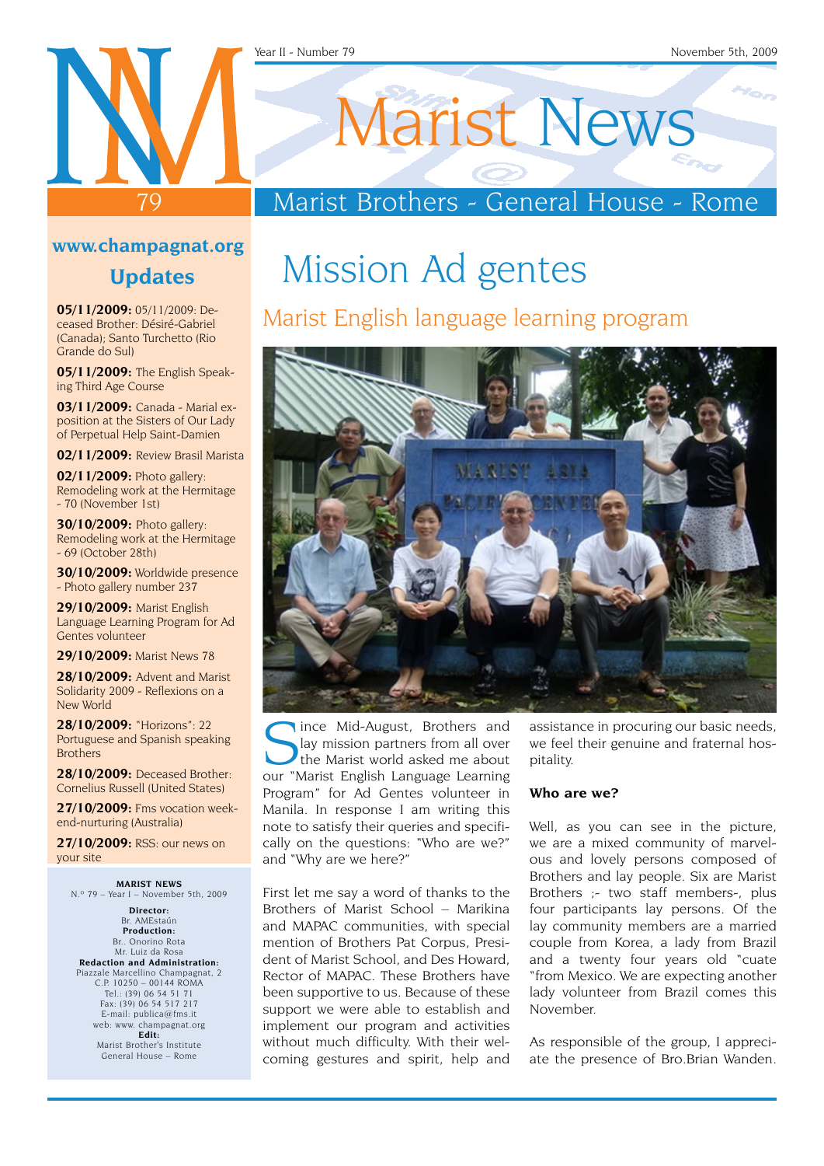#### Year II - Number 79 November 5th, 2009

# 79

## Marist News

#### Marist Brothers - General House - Rome

#### **www.champagnat.org**

**Updates**

**05/11/2009:** 05/11/2009: Deceased Brother: Désiré-Gabriel (Canada); Santo Turchetto (Rio Grande do Sul)

**05/11/2009:** The English Speaking Third Age Course

**03/11/2009:** Canada - Marial exposition at the Sisters of Our Lady of Perpetual Help Saint-Damien

**02/11/2009:** Review Brasil Marista

**02/11/2009:** Photo gallery: Remodeling work at the Hermitage - 70 (November 1st)

**30/10/2009:** Photo gallery: Remodeling work at the Hermitage - 69 (October 28th)

**30/10/2009:** Worldwide presence - Photo gallery number 237

**29/10/2009:** Marist English Language Learning Program for Ad Gentes volunteer

**29/10/2009:** Marist News 78

**28/10/2009:** Advent and Marist Solidarity 2009 - Reflexions on a New World

**28/10/2009:** "Horizons": 22 Portuguese and Spanish speaking Brothers

**28/10/2009:** Deceased Brother: Cornelius Russell (United States)

**27/10/2009:** Fms vocation weekend-nurturing (Australia)

**27/10/2009:** RSS: our news on your site

**MARIST NEWS** N.º 79 – Year I – November 5th, 2009

**Director:** Br. AMEstaún **Production:** Br.. Onorino Rota Mr. Luiz da Rosa **Redaction and Administration:** Piazzale Marcellino Champagnat, 2 C.P. 10250 – 00144 ROMA Tel.: (39) 06 54 51 71 Fax: (39) 06 54 517 217 E-mail: publica@fms.it web: www. champagnat.org **Edit:** Marist Brother's Institute

General House – Rome

## Mission Ad gentes

#### Marist English language learning program



Since Mid-August, Brothers and<br>Salay mission partners from all over<br>the Marist Foglish Language Learning lay mission partners from all over the Marist world asked me about our "Marist English Language Learning Program" for Ad Gentes volunteer in Manila. In response I am writing this note to satisfy their queries and specifically on the questions: "Who are we?" and "Why are we here?"

First let me say a word of thanks to the Brothers of Marist School – Marikina and MAPAC communities, with special mention of Brothers Pat Corpus, President of Marist School, and Des Howard, Rector of MAPAC. These Brothers have been supportive to us. Because of these support we were able to establish and implement our program and activities without much difficulty. With their welcoming gestures and spirit, help and assistance in procuring our basic needs, we feel their genuine and fraternal hospitality.

#### **Who are we?**

Well, as you can see in the picture, we are a mixed community of marvelous and lovely persons composed of Brothers and lay people. Six are Marist Brothers ;- two staff members-, plus four participants lay persons. Of the lay community members are a married couple from Korea, a lady from Brazil and a twenty four years old "cuate "from Mexico. We are expecting another lady volunteer from Brazil comes this November.

As responsible of the group, I appreciate the presence of Bro.Brian Wanden.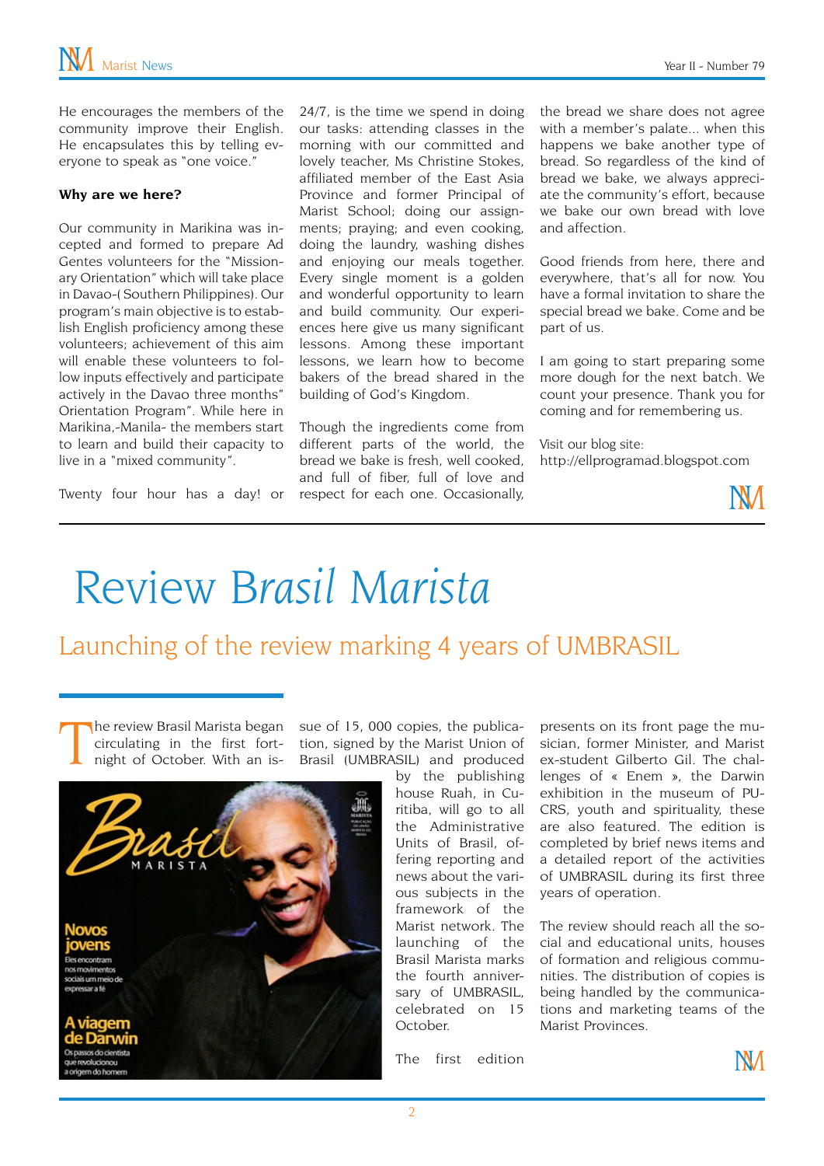He encourages the members of the community improve their English. He encapsulates this by telling everyone to speak as "one voice."

#### **Why are we here?**

Our community in Marikina was incepted and formed to prepare Ad Gentes volunteers for the "Missionary Orientation" which will take place in Davao-( Southern Philippines). Our program's main objective is to establish English proficiency among these volunteers; achievement of this aim will enable these volunteers to follow inputs effectively and participate actively in the Davao three months" Orientation Program". While here in Marikina,-Manila- the members start to learn and build their capacity to live in a "mixed community".

Twenty four hour has a day! or

24/7, is the time we spend in doing our tasks: attending classes in the morning with our committed and lovely teacher, Ms Christine Stokes, affiliated member of the East Asia Province and former Principal of Marist School; doing our assignments; praying; and even cooking, doing the laundry, washing dishes and enjoying our meals together. Every single moment is a golden and wonderful opportunity to learn and build community. Our experiences here give us many significant lessons. Among these important lessons, we learn how to become bakers of the bread shared in the building of God's Kingdom.

Though the ingredients come from different parts of the world, the bread we bake is fresh, well cooked, and full of fiber, full of love and respect for each one. Occasionally,

the bread we share does not agree with a member's palate... when this happens we bake another type of bread. So regardless of the kind of bread we bake, we always appreciate the community's effort, because we bake our own bread with love and affection.

Good friends from here, there and everywhere, that's all for now. You have a formal invitation to share the special bread we bake. Come and be part of us.

I am going to start preparing some more dough for the next batch. We count your presence. Thank you for coming and for remembering us.

Visit our blog site: http://ellprogramad.blogspot.com



## Review *Brasil Marista*

#### Launching of the review marking 4 years of UMBRASIL

T he review Brasil Marista began circulating in the first fortnight of October. With an is-



by the publishing house Ruah, in Curitiba, will go to all the Administrative Units of Brasil, offering reporting and news about the various subjects in the framework of the Marist network. The launching of the Brasil Marista marks the fourth anniversary of UMBRASIL, celebrated on 15 October.

presents on its front page the musician, former Minister, and Marist ex-student Gilberto Gil. The challenges of « Enem », the Darwin exhibition in the museum of PU-CRS, youth and spirituality, these are also featured. The edition is completed by brief news items and a detailed report of the activities of UMBRASIL during its first three years of operation.

The review should reach all the social and educational units, houses of formation and religious communities. The distribution of copies is being handled by the communications and marketing teams of the Marist Provinces.

The first edition

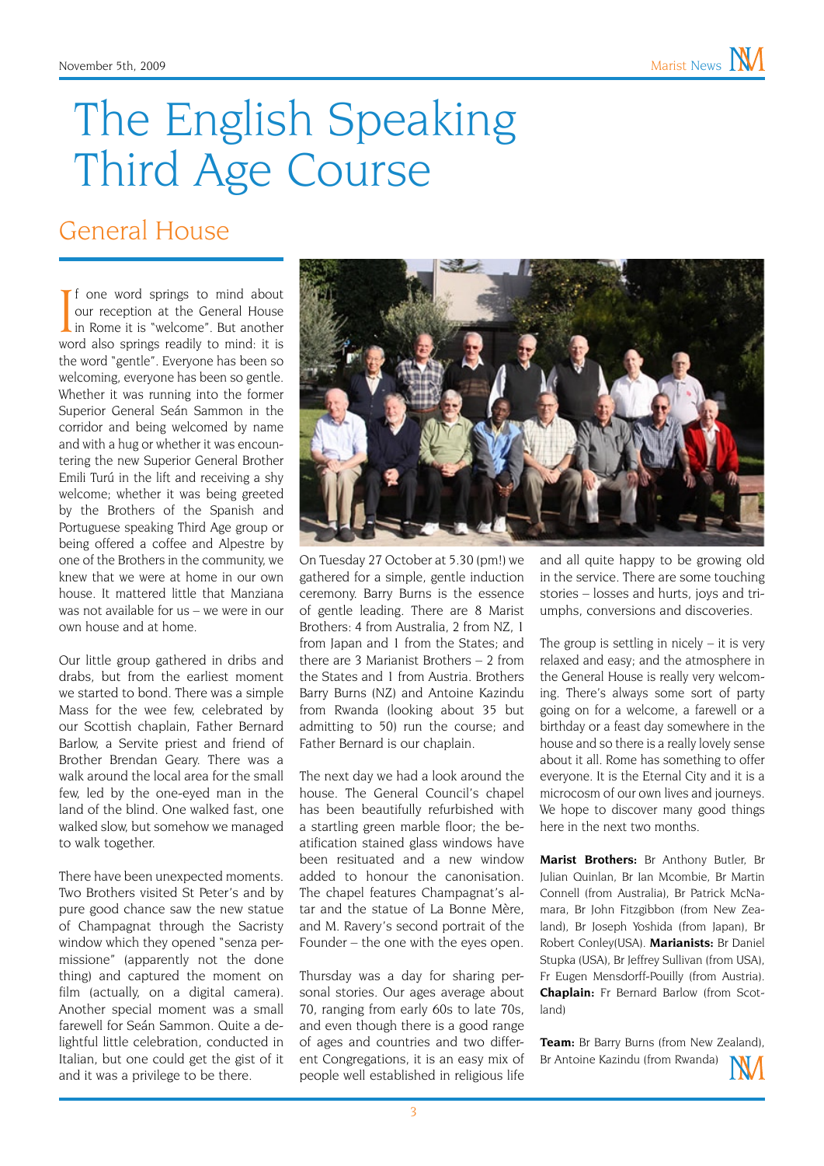## The English Speaking Third Age Course

#### General House

If one word springs to mind about<br>our reception at the General House<br>in Rome it is "welcome". But another<br>word also springs readily to mind: it is f one word springs to mind about our reception at the General House in Rome it is "welcome". But another the word "gentle". Everyone has been so welcoming, everyone has been so gentle. Whether it was running into the former Superior General Seán Sammon in the corridor and being welcomed by name and with a hug or whether it was encountering the new Superior General Brother Emili Turú in the lift and receiving a shy welcome; whether it was being greeted by the Brothers of the Spanish and Portuguese speaking Third Age group or being offered a coffee and Alpestre by one of the Brothers in the community, we knew that we were at home in our own house. It mattered little that Manziana was not available for us – we were in our own house and at home.

Our little group gathered in dribs and drabs, but from the earliest moment we started to bond. There was a simple Mass for the wee few, celebrated by our Scottish chaplain, Father Bernard Barlow, a Servite priest and friend of Brother Brendan Geary. There was a walk around the local area for the small few, led by the one-eyed man in the land of the blind. One walked fast, one walked slow, but somehow we managed to walk together.

There have been unexpected moments. Two Brothers visited St Peter's and by pure good chance saw the new statue of Champagnat through the Sacristy window which they opened "senza permissione" (apparently not the done thing) and captured the moment on film (actually, on a digital camera). Another special moment was a small farewell for Seán Sammon. Quite a delightful little celebration, conducted in Italian, but one could get the gist of it and it was a privilege to be there.



On Tuesday 27 October at 5.30 (pm!) we gathered for a simple, gentle induction ceremony. Barry Burns is the essence of gentle leading. There are 8 Marist Brothers: 4 from Australia, 2 from NZ, 1 from Japan and 1 from the States; and there are 3 Marianist Brothers – 2 from the States and 1 from Austria. Brothers Barry Burns (NZ) and Antoine Kazindu from Rwanda (looking about 35 but admitting to 50) run the course; and Father Bernard is our chaplain.

The next day we had a look around the house. The General Council's chapel has been beautifully refurbished with a startling green marble floor; the beatification stained glass windows have been resituated and a new window added to honour the canonisation. The chapel features Champagnat's altar and the statue of La Bonne Mère, and M. Ravery's second portrait of the Founder – the one with the eyes open.

Thursday was a day for sharing personal stories. Our ages average about 70, ranging from early 60s to late 70s, and even though there is a good range of ages and countries and two different Congregations, it is an easy mix of people well established in religious life

and all quite happy to be growing old in the service. There are some touching stories – losses and hurts, joys and triumphs, conversions and discoveries.

The group is settling in nicely  $-$  it is very relaxed and easy; and the atmosphere in the General House is really very welcoming. There's always some sort of party going on for a welcome, a farewell or a birthday or a feast day somewhere in the house and so there is a really lovely sense about it all. Rome has something to offer everyone. It is the Eternal City and it is a microcosm of our own lives and journeys. We hope to discover many good things here in the next two months.

**Marist Brothers:** Br Anthony Butler, Br Julian Quinlan, Br Ian Mcombie, Br Martin Connell (from Australia), Br Patrick McNamara, Br John Fitzgibbon (from New Zealand), Br Joseph Yoshida (from Japan), Br Robert Conley(USA). **Marianists:** Br Daniel Stupka (USA), Br Jeffrey Sullivan (from USA), Fr Eugen Mensdorff-Pouilly (from Austria). **Chaplain:** Fr Bernard Barlow (from Scotland)

**Team:** Br Barry Burns (from New Zealand), Br Antoine Kazindu (from Rwanda)